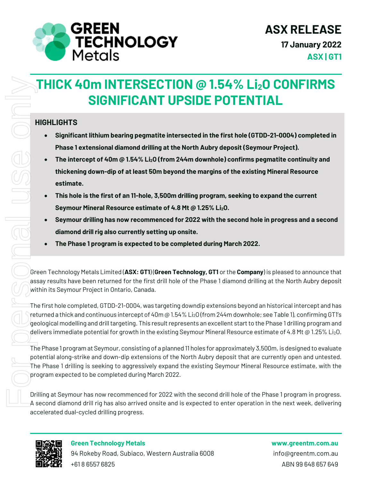

**ASX | GT1**

# **THICK 40m INTERSECTION @ 1.54% Li2O CONFIRMS SIGNIFICANT UPSIDE POTENTIAL**

#### **HIGHLIGHTS**

- **Significant lithium bearing pegmatite intersected in the first hole (GTDD-21-0004) completed in Phase 1 extensional diamond drilling at the North Aubry deposit (Seymour Project).**
- **The intercept of 40m @ 1.54% Li2O (from 244m downhole) confirms pegmatite continuity and thickening down-dip of at least 50m beyond the margins of the existing Mineral Resource estimate.**
- **This hole is the first of an 11-hole, 3,500m drilling program, seeking to expand the current Seymour Mineral Resource estimate of 4.8 Mt @ 1.25% Li2O.**
- **Seymour drilling has now recommenced for 2022 with the second hole in progress and a second diamond drill rig also currently setting up onsite.**
- **The Phase 1 program is expected to be completed during March 2022.**

Green Technology Metals Limited (**ASX: GT1**) (**Green Technology, GT1** or the **Company**) is pleased to announce that assay results have been returned for the first drill hole of the Phase 1 diamond drilling at the North Aubry deposit within its Seymour Project in Ontario, Canada.

The first hole completed, GTDD-21-0004, was targeting downdip extensions beyond an historical intercept and has returned a thick and continuous intercept of 40m @ 1.54% Li<sub>2</sub>O (from 244m downhole; see Table 1), confirming GT1's geological modelling and drill targeting. This result represents an excellent start to the Phase 1 drilling program and delivers immediate potential for growth in the existing Seymour Mineral Resource estimate of 4.8 Mt @ 1.25% Li<sub>2</sub>0.

The Phase 1 program at Seymour, consisting of a planned 11 holes for approximately 3,500m, is designed to evaluate potential along-strike and down-dip extensions of the North Aubry deposit that are currently open and untested. The Phase 1 drilling is seeking to aggressively expand the existing Seymour Mineral Resource estimate, with the program expected to be completed during March 2022.

Drilling at Seymour has now recommenced for 2022 with the second drill hole of the Phase 1 program in progress. A second diamond drill rig has also arrived onsite and is expected to enter operation in the next week, delivering accelerated dual-cycled drilling progress.



94 Rokeby Road, Subiaco, Western Australia 6008 info@greentm.com.au +61 8 6557 6825 ABN 99 648 657 649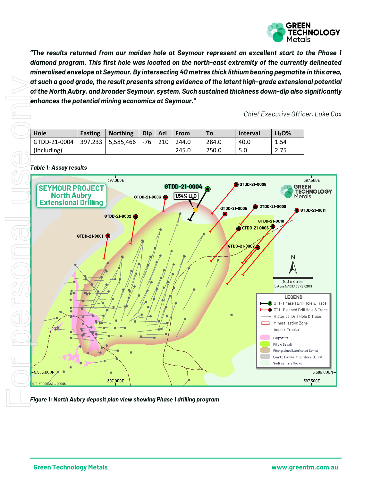

*"The results returned from our maiden hole at Seymour represent an excellent start to the Phase 1 diamond program. This first hole was located on the north-east extremity of the currently delineated mineralised envelope at Seymour. By intersecting 40 metres thick lithium bearing pegmatite in this area, at such a good grade, the result presents strong evidence of the latent high-grade extensional potential of the North Aubry, and broader Seymour, system. Such sustained thickness down-dip also significantly enhances the potential mining economics at Seymour."*

*Chief Executive Officer, Luke Cox*

| Hole         | <b>Easting</b> | <b>Northing</b> | <b>Dip</b> | Azi | <b>From</b> | To.   | <b>Interval</b> | Li <sub>2</sub> O <sub>%</sub> |
|--------------|----------------|-----------------|------------|-----|-------------|-------|-----------------|--------------------------------|
| GTDD-21-0004 | 397,233        | 5,585,466       | -76        | 210 | 244.0       | 284.0 | 40.0            | 1.54                           |
| (Including)  |                |                 |            |     | 245.0       | 250.0 | 5.0             | 2.75                           |

*Table 1: Assay results*

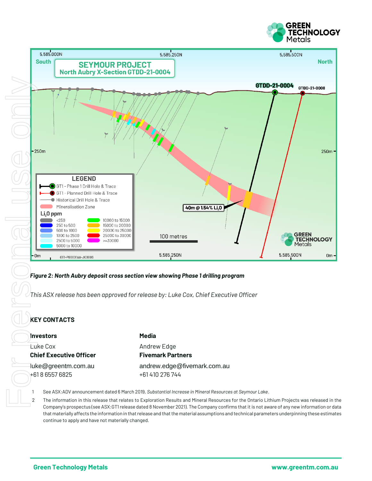



#### *Figure 2: North Aubry deposit cross section view showing Phase 1 drilling program*

*This ASX release has been approved for release by: Luke Cox, Chief Executive Officer*

#### **KEY CONTACTS**

**Investors Media** Luke Cox and the Cox Andrew Edge **Chief Executive Officer Fivemark Partners** +61 8 6557 6825 +61 410 276 744

# luke@greentm.com.au andrew.edge@fivemark.com.au

1 See ASX:ADV announcement dated 6 March 2019, *Substantial Increase in Mineral Resources at Seymour Lake*.

2 The information in this release that relates to Exploration Results and Mineral Resources for the Ontario Lithium Projects was released in the Company's prospectus (see ASX:GT1 release dated 8 November 2021). The Company confirms that it is not aware of any new information or data that materially affects the information in that release and that the material assumptions and technical parameters underpinning these estimates continue to apply and have not materially changed.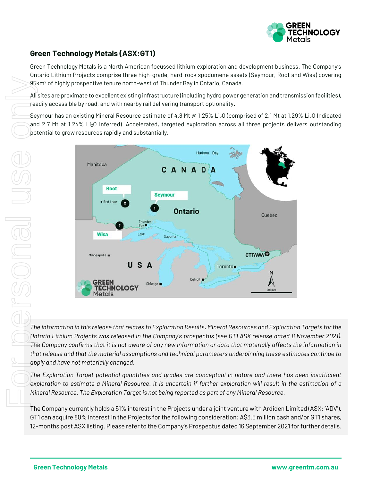

#### **Green Technology Metals (ASX:GT1)**

Green Technology Metals is a North American focussed lithium exploration and development business. The Company's Ontario Lithium Projects comprise three high-grade, hard-rock spodumene assets (Seymour, Root and Wisa) covering 95km<sup>2</sup> of highly prospective tenure north-west of Thunder Bay in Ontario, Canada.

All sites are proximate to excellent existing infrastructure (including hydro power generation and transmission facilities), readily accessible by road, and with nearby rail delivering transport optionality.

Seymour has an existing Mineral Resource estimate of 4.8 Mt @ 1.25% Li<sub>2</sub>O (comprised of 2.1 Mt at 1.29% Li<sub>2</sub>O Indicated and 2.7 Mt at 1.24% Li<sub>2</sub>O Inferred). Accelerated, targeted exploration across all three projects delivers outstanding potential to grow resources rapidly and substantially.



*The information in this release that relates to Exploration Results, Mineral Resources and Exploration Targets for the Ontario Lithium Projects was released in the Company's prospectus (see GT1 ASX release dated 8 November 2021). The Company confirms that it is not aware of any new information or data that materially affects the information in that release and that the material assumptions and technical parameters underpinning these estimates continue to apply and have not materially changed.* 

*The Exploration Target potential quantities and grades are conceptual in nature and there has been insufficient exploration to estimate a Mineral Resource. It is uncertain if further exploration will result in the estimation of a Mineral Resource. The Exploration Target is not being reported as part of any Mineral Resource.*

The Company currently holds a 51% interest in the Projects under a joint venture with Ardiden Limited (ASX: 'ADV'). GT1 can acquire 80% interest in the Projects for the following consideration: A\$3.5 million cash and/or GT1 shares,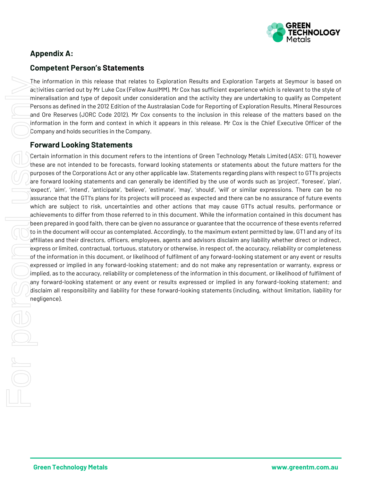

#### **Appendix A:**

#### **Competent Person's Statements**

The information in this release that relates to Exploration Results and Exploration Targets at Seymour is based on activities carried out by Mr Luke Cox (Fellow AusIMM). Mr Cox has sufficient experience which is relevant to the style of mineralisation and type of deposit under consideration and the activity they are undertaking to qualify as Competent Persons as defined in the 2012 Edition of the Australasian Code for Reporting of Exploration Results, Mineral Resources and Ore Reserves (JORC Code 2012). Mr Cox consents to the inclusion in this release of the matters based on the information in the form and context in which it appears in this release. Mr Cox is the Chief Executive Officer of the Company and holds securities in the Company.

#### **Forward Looking Statements**

Certain information in this document refers to the intentions of Green Technology Metals Limited (ASX: GT1), however these are not intended to be forecasts, forward looking statements or statements about the future matters for the purposes of the Corporations Act or any other applicable law. Statements regarding plans with respect to GT1's projects are forward looking statements and can generally be identified by the use of words such as 'project', 'foresee', 'plan', 'expect', 'aim', 'intend', 'anticipate', 'believe', 'estimate', 'may', 'should', 'will' or similar expressions. There can be no assurance that the GT1's plans for its projects will proceed as expected and there can be no assurance of future events which are subject to risk, uncertainties and other actions that may cause GT1's actual results, performance or achievements to differ from those referred to in this document. While the information contained in this document has been prepared in good faith, there can be given no assurance or guarantee that the occurrence of these events referred to in the document will occur as contemplated. Accordingly, to the maximum extent permitted by law, GT1 and any of its affiliates and their directors, officers, employees, agents and advisors disclaim any liability whether direct or indirect, express or limited, contractual, tortuous, statutory or otherwise, in respect of, the accuracy, reliability or completeness of the information in this document, or likelihood of fulfilment of any forward-looking statement or any event or results expressed or implied in any forward-looking statement; and do not make any representation or warranty, express or implied, as to the accuracy, reliability or completeness of the information in this document, or likelihood of fulfilment of any forward-looking statement or any event or results expressed or implied in any forward-looking statement; and disclaim all responsibility and liability for these forward-looking statements (including, without limitation, liability for negligence).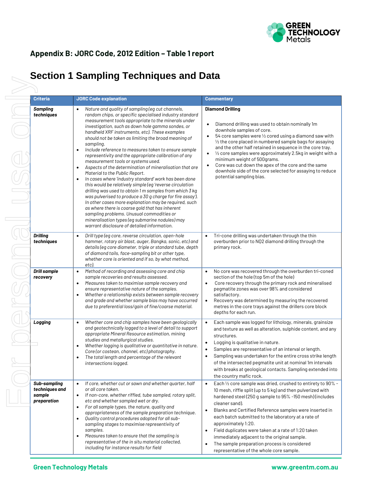

#### **Appendix B: JORC Code, 2012 Edition – Table 1 report**

## **Section 1 Sampling Techniques and Data**

| <b>Criteria</b>                                         | <b>JORC Code explanation</b>                                                                                                                                                                                                                                                                                                                                                                                                                                                                                                                                                                                                                                                                                                                                                                                                                                                                                                                                                                                                                                                                                                                                   | <b>Commentary</b>                                                                                                                                                                                                                                                                                                                                                                                                                                                                                                                                                                                 |
|---------------------------------------------------------|----------------------------------------------------------------------------------------------------------------------------------------------------------------------------------------------------------------------------------------------------------------------------------------------------------------------------------------------------------------------------------------------------------------------------------------------------------------------------------------------------------------------------------------------------------------------------------------------------------------------------------------------------------------------------------------------------------------------------------------------------------------------------------------------------------------------------------------------------------------------------------------------------------------------------------------------------------------------------------------------------------------------------------------------------------------------------------------------------------------------------------------------------------------|---------------------------------------------------------------------------------------------------------------------------------------------------------------------------------------------------------------------------------------------------------------------------------------------------------------------------------------------------------------------------------------------------------------------------------------------------------------------------------------------------------------------------------------------------------------------------------------------------|
| <b>Sampling</b><br>techniques                           | Nature and quality of sampling (eg cut channels,<br>$\bullet$<br>random chips, or specific specialised industry standard<br>measurement tools appropriate to the minerals under<br>investigation, such as down hole gamma sondes, or<br>handheld XRF instruments, etc). These examples<br>should not be taken as limiting the broad meaning of<br>sampling.<br>Include reference to measures taken to ensure sample<br>$\bullet$<br>representivity and the appropriate calibration of any<br>measurement tools or systems used.<br>Aspects of the determination of mineralisation that are<br>$\bullet$<br>Material to the Public Report.<br>In cases where 'industry standard' work has been done<br>$\bullet$<br>this would be relatively simple (eq 'reverse circulation<br>drilling was used to obtain 1 m samples from which 3 kg<br>was pulverised to produce a 30 g charge for fire assay').<br>In other cases more explanation may be required, such<br>as where there is coarse gold that has inherent<br>sampling problems. Unusual commodities or<br>mineralisation types (eg submarine nodules) may<br>warrant disclosure of detailed information. | <b>Diamond Drilling</b><br>Diamond drilling was used to obtain nominally 1m<br>downhole samples of core.<br>54 core samples were 1/2 cored using a diamond saw with<br>1/2 the core placed in numbered sample bags for assaying<br>and the other half retained in sequence in the core tray.<br>$\frac{1}{2}$ core samples were approximately 2.5kg in weight with a<br>$\bullet$<br>minimum weight of 500grams.<br>Core was cut down the apex of the core and the same<br>downhole side of the core selected for assaying to reduce<br>potential sampling bias.                                  |
| <b>Drilling</b><br>techniques                           | Drill type (eq core, reverse circulation, open-hole<br>$\bullet$<br>hammer, rotary air blast, auger, Bangka, sonic, etc) and<br>details (eg core diameter, triple or standard tube, depth<br>of diamond tails, face-sampling bit or other type,<br>whether core is oriented and if so, by what method,<br>etc).                                                                                                                                                                                                                                                                                                                                                                                                                                                                                                                                                                                                                                                                                                                                                                                                                                                | Tri-cone drilling was undertaken through the thin<br>$\bullet$<br>overburden prior to NQ2 diamond drilling through the<br>primary rock.                                                                                                                                                                                                                                                                                                                                                                                                                                                           |
| <b>Drill sample</b><br>recovery                         | Method of recording and assessing core and chip<br>$\bullet$<br>sample recoveries and results assessed.<br>Measures taken to maximise sample recovery and<br>$\bullet$<br>ensure representative nature of the samples.<br>Whether a relationship exists between sample recovery<br>$\bullet$<br>and grade and whether sample bias may have occurred<br>due to preferential loss/gain of fine/coarse material.                                                                                                                                                                                                                                                                                                                                                                                                                                                                                                                                                                                                                                                                                                                                                  | No core was recovered through the overburden tri-coned<br>$\bullet$<br>section of the hole (top 5m of the hole)<br>Core recovery through the primary rock and mineralised<br>$\bullet$<br>pegmatite zones was over 98% and considered<br>satisfactory.<br>Recovery was determined by measuring the recovered<br>$\bullet$<br>metres in the core trays against the drillers core block<br>depths for each run.                                                                                                                                                                                     |
| Logging                                                 | Whether core and chip samples have been geologically<br>$\bullet$<br>and geotechnically logged to a level of detail to support<br>appropriate Mineral Resource estimation, mining<br>studies and metallurgical studies.<br>Whether logging is qualitative or quantitative in nature.<br>٠<br>Core (or costean, channel, etc) photography.<br>The total length and percentage of the relevant<br>$\bullet$<br>intersections logged.                                                                                                                                                                                                                                                                                                                                                                                                                                                                                                                                                                                                                                                                                                                             | Each sample was logged for lithology, minerals, grainsize<br>$\bullet$<br>and texture as well as alteration, sulphide content, and any<br>structures.<br>Logging is qualitative in nature.<br>٠<br>Samples are representative of an interval or length.<br>Sampling was undertaken for the entire cross strike length<br>$\bullet$<br>of the intersected pegmatite unit at nominal 1m intervals<br>with breaks at geological contacts. Sampling extended into<br>the country mafic rock.                                                                                                          |
| Sub-sampling<br>techniques and<br>sample<br>preparation | If core, whether cut or sawn and whether quarter, half<br>or all core taken.<br>If non-core, whether riffled, tube sampled, rotary split,<br>$\bullet$<br>etc and whether sampled wet or dry.<br>For all sample types, the nature, quality and<br>$\bullet$<br>appropriateness of the sample preparation technique.<br>Quality control procedures adopted for all sub-<br>$\bullet$<br>sampling stages to maximise representivity of<br>samples.<br>Measures taken to ensure that the sampling is<br>$\bullet$<br>representative of the in situ material collected,<br>including for instance results for field                                                                                                                                                                                                                                                                                                                                                                                                                                                                                                                                                | Each 1/2 core sample was dried, crushed to entirety to 90% -<br>$\bullet$<br>10 mesh, riffle split (up to 5 kg) and then pulverized with<br>hardened steel (250 g sample to 95% -150 mesh) (includes<br>cleaner sand).<br>Blanks and Certified Reference samples were inserted in<br>$\bullet$<br>each batch submitted to the laboratory at a rate of<br>approximately 1:20.<br>Field duplicates were taken at a rate of 1:20 taken<br>٠<br>immediately adjacent to the original sample.<br>The sample preparation process is considered<br>$\bullet$<br>representative of the whole core sample. |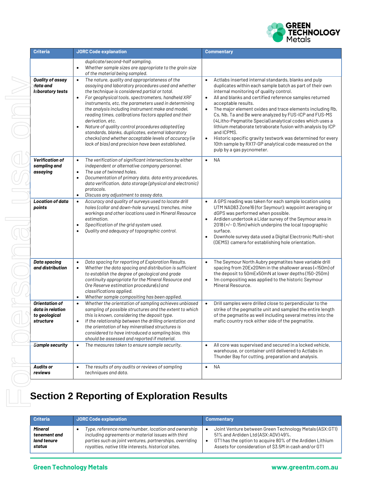

| <b>Criteria</b>                                                         | <b>JORC Code explanation</b>                                                                                                                                                                                                                                                                                                                                                                                                                                                                                                                                                                                                                                           | <b>Commentary</b>                                                                                                                                                                                                                                                                                                                                                                                                                                                                                                                                                                                                                                                                                                     |
|-------------------------------------------------------------------------|------------------------------------------------------------------------------------------------------------------------------------------------------------------------------------------------------------------------------------------------------------------------------------------------------------------------------------------------------------------------------------------------------------------------------------------------------------------------------------------------------------------------------------------------------------------------------------------------------------------------------------------------------------------------|-----------------------------------------------------------------------------------------------------------------------------------------------------------------------------------------------------------------------------------------------------------------------------------------------------------------------------------------------------------------------------------------------------------------------------------------------------------------------------------------------------------------------------------------------------------------------------------------------------------------------------------------------------------------------------------------------------------------------|
|                                                                         | duplicate/second-half sampling.<br>Whether sample sizes are appropriate to the grain size<br>$\bullet$<br>of the material being sampled.                                                                                                                                                                                                                                                                                                                                                                                                                                                                                                                               |                                                                                                                                                                                                                                                                                                                                                                                                                                                                                                                                                                                                                                                                                                                       |
| Quality of assay<br>data and<br>laboratory tests                        | The nature, quality and appropriateness of the<br>$\bullet$<br>assaying and laboratory procedures used and whether<br>the technique is considered partial or total.<br>For geophysical tools, spectrometers, handheld XRF<br>$\bullet$<br>instruments, etc, the parameters used in determining<br>the analysis including instrument make and model,<br>reading times, calibrations factors applied and their<br>derivation, etc.<br>Nature of quality control procedures adopted (eg<br>$\bullet$<br>standards, blanks, duplicates, external laboratory<br>checks) and whether acceptable levels of accuracy (ie<br>lack of bias) and precision have been established. | $\bullet$<br>Actlabs inserted internal standards, blanks and pulp<br>duplicates within each sample batch as part of their own<br>internal monitoring of quality control.<br>All and blanks and certified reference samples returned<br>$\bullet$<br>acceptable results.<br>The major element oxides and trace elements including Rb,<br>$\bullet$<br>Cs, Nb, Ta and Be were analyzed by FUS-ICP and FUS-MS<br>(4Litho-Pegmatite Special) analytical codes which uses a<br>lithium metaborate tetraborate fusion with analysis by ICP<br>and ICPMS.<br>Historic specific gravity testwork was determined for every<br>$\bullet$<br>10th sample by RX17-GP analytical code measured on the<br>pulp by a gas pycnometer. |
| <b>Verification of</b><br>sampling and<br>assaying                      | The verification of significant intersections by either<br>$\bullet$<br>independent or alternative company personnel.<br>The use of twinned holes.<br>$\bullet$<br>Documentation of primary data, data entry procedures,<br>$\bullet$<br>data verification, data storage (physical and electronic)<br>protocols.<br>Discuss any adjustment to assay data.<br>$\bullet$                                                                                                                                                                                                                                                                                                 | <b>NA</b><br>$\bullet$                                                                                                                                                                                                                                                                                                                                                                                                                                                                                                                                                                                                                                                                                                |
| <b>Location of data</b><br>points                                       | Accuracy and quality of surveys used to locate drill<br>$\bullet$<br>holes (collar and down-hole surveys), trenches, mine<br>workings and other locations used in Mineral Resource<br>estimation.<br>Specification of the grid system used.<br>$\bullet$<br>Quality and adequacy of topographic control.<br>$\bullet$                                                                                                                                                                                                                                                                                                                                                  | A GPS reading was taken for each sample location using<br>UTM NAD83 Zone16 (for Seymour); waypoint averaging or<br>dGPS was performed when possible.<br>Ardiden undertook a Lidar survey of the Seymour area in<br>$\bullet$<br>2018 (+/- 0.15m) which underpins the local topographic<br>surface.<br>Downhole survey data used a Digital Electronic Multi-shot<br>$\bullet$<br>(DEMS) camera for establishing hole orientation.                                                                                                                                                                                                                                                                                      |
| <b>Data spacing</b><br>and distribution                                 | Data spacing for reporting of Exploration Results.<br>$\bullet$<br>Whether the data spacing and distribution is sufficient<br>$\bullet$<br>to establish the degree of geological and grade<br>continuity appropriate for the Mineral Resource and<br>Ore Reserve estimation procedure(s) and<br>classifications applied.<br>Whether sample compositing has been applied.<br>$\bullet$                                                                                                                                                                                                                                                                                  | The Seymour North Aubry pegmatites have variable drill<br>$\bullet$<br>spacing from 20Ex20Nm in the shallower areas (<150m) of<br>the deposit to 50mEx50mN at lower depths (150-250m)<br>1m compositing was applied to the historic Seymour<br>$\bullet$<br>Mineral Resource.                                                                                                                                                                                                                                                                                                                                                                                                                                         |
| <b>Orientation of</b><br>data in relation<br>to geological<br>structure | Whether the orientation of sampling achieves unbiased<br>$\bullet$<br>sampling of possible structures and the extent to which<br>this is known, considering the deposit type.<br>If the relationship between the drilling orientation and<br>$\bullet$<br>the orientation of key mineralised structures is<br>considered to have introduced a sampling bias, this<br>should be assessed and reported if material.                                                                                                                                                                                                                                                      | Drill samples were drilled close to perpendicular to the<br>$\bullet$<br>strike of the pegmatite unit and sampled the entire length<br>of the pegmatite as well including several metres into the<br>mafic country rock either side of the pegmatite.                                                                                                                                                                                                                                                                                                                                                                                                                                                                 |
| <b>Sample security</b>                                                  | The measures taken to ensure sample security.<br>$\bullet$                                                                                                                                                                                                                                                                                                                                                                                                                                                                                                                                                                                                             | All core was supervised and secured in a locked vehicle,<br>$\bullet$<br>warehouse, or container until delivered to Actlabs in<br>Thunder Bay for cutting, preparation and analysis.                                                                                                                                                                                                                                                                                                                                                                                                                                                                                                                                  |
| Audits or<br>reviews                                                    | The results of any audits or reviews of sampling<br>$\bullet$<br>techniques and data.                                                                                                                                                                                                                                                                                                                                                                                                                                                                                                                                                                                  | NА<br>$\bullet$                                                                                                                                                                                                                                                                                                                                                                                                                                                                                                                                                                                                                                                                                                       |

### **Section 2 Reporting of Exploration Results**

| <b>Criteria</b> | <b>JORC Code explanation</b>                             | <b>Commentary</b>                                        |
|-----------------|----------------------------------------------------------|----------------------------------------------------------|
| Mineral         | Type, reference name/number, location and ownership      | Joint Venture between Green Technology Metals (ASX:GT1)  |
| tenement and    | including agreements or material issues with third       | 51% and Ardiden Ltd (ASX:ADV) 49%.                       |
| land tenure     | parties such as joint ventures, partnerships, overriding | GT1 has the option to acquire 80% of the Ardiden Lithium |
| status          | royalties, native title interests, historical sites,     | Assets for consideration of \$3.5M in cash and/or GT1    |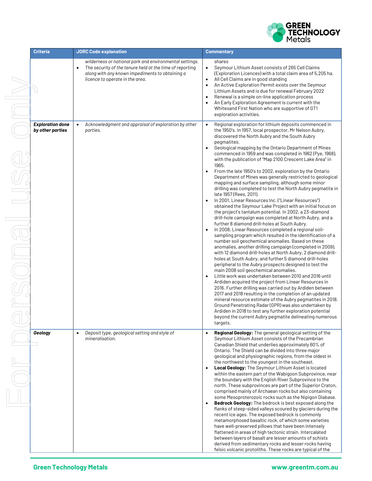

| Criteria                                    | <b>JORC Code explanation</b>                                                                                                                                                                                           | <b>Commentary</b>                                                                                                                                                                                                                                                                                                                                                                                                                                                                                                                                                                                                                                                                                                                                                                                                                                                                                                                                                                                                                                                                                                                                                                                                                                                                                                                                                                                                                                                                                                                                                                                                                                                                                                                                                                                                                                                                                                                                                                                           |
|---------------------------------------------|------------------------------------------------------------------------------------------------------------------------------------------------------------------------------------------------------------------------|-------------------------------------------------------------------------------------------------------------------------------------------------------------------------------------------------------------------------------------------------------------------------------------------------------------------------------------------------------------------------------------------------------------------------------------------------------------------------------------------------------------------------------------------------------------------------------------------------------------------------------------------------------------------------------------------------------------------------------------------------------------------------------------------------------------------------------------------------------------------------------------------------------------------------------------------------------------------------------------------------------------------------------------------------------------------------------------------------------------------------------------------------------------------------------------------------------------------------------------------------------------------------------------------------------------------------------------------------------------------------------------------------------------------------------------------------------------------------------------------------------------------------------------------------------------------------------------------------------------------------------------------------------------------------------------------------------------------------------------------------------------------------------------------------------------------------------------------------------------------------------------------------------------------------------------------------------------------------------------------------------------|
|                                             | wilderness or national park and environmental settings.<br>The security of the tenure held at the time of reporting<br>$\bullet$<br>along with any known impediments to obtaining a<br>licence to operate in the area. | shares<br>Seymour Lithium Asset consists of 265 Cell Claims<br>$\bullet$<br>(Exploration Licences) with a total claim area of 5,205 ha.<br>All Cell Claims are in good standing<br>$\bullet$<br>An Active Exploration Permit exists over the Seymour<br>$\bullet$<br>Lithium Assets and is due for renewal February 2022<br>Renewal is a simple on-line application process<br>$\bullet$<br>An Early Exploration Agreement is current with the<br>$\bullet$<br>Whitesand First Nation who are supportive of GT1<br>exploration activities.                                                                                                                                                                                                                                                                                                                                                                                                                                                                                                                                                                                                                                                                                                                                                                                                                                                                                                                                                                                                                                                                                                                                                                                                                                                                                                                                                                                                                                                                  |
| <b>Exploration done</b><br>by other parties | Acknowledgment and appraisal of exploration by other<br>$\bullet$<br>parties.                                                                                                                                          | Regional exploration for lithium deposits commenced in<br>$\bullet$<br>the 1950's. In 1957, local prospector, Mr Nelson Aubry,<br>discovered the North Aubry and the South Aubry<br>pegmatites.<br>Geological mapping by the Ontario Department of Mines<br>$\bullet$<br>commenced in 1959 and was completed in 1962 (Pye, 1968),<br>with the publication of "Map 2100 Crescent Lake Area" in<br>1965.<br>From the late 1950's to 2002, exploration by the Ontario<br>$\bullet$<br>Department of Mines was generally restricted to geological<br>mapping and surface sampling, although some minor<br>drilling was completed to test the North Aubry pegmatite in<br>late 1957 (Rees, 2011).<br>In 2001, Linear Resources Inc. ("Linear Resources")<br>$\bullet$<br>obtained the Seymour Lake Project with an initial focus on<br>the project's tantalum potential. In 2002, a 23-diamond<br>drill-hole campaign was completed at North Aubry, and a<br>further 8 diamond drill-holes at South Aubry.<br>In 2008, Linear Resources completed a regional soil-<br>$\bullet$<br>sampling program which resulted in the identification of a<br>number soil geochemical anomalies. Based on these<br>anomalies, another drilling campaign (completed in 2009),<br>with 12 diamond drill-holes at North Aubry, 2 diamond drill-<br>holes at South Aubry, and further 5 diamond drill-holes<br>peripheral to the Aubry prospects designed to test the<br>main 2008 soil geochemical anomalies.<br>Little work was undertaken between 2010 and 2016 until<br>$\bullet$<br>Ardiden acquired the project from Linear Resources in<br>2016. Further drilling was carried out by Ardiden between<br>2017 and 2018 resulting in the completion of an updated<br>mineral resource estimate of the Aubry pegmatites in 2018.<br>Ground Penetrating Radar (GPR) was also undertaken by<br>Ardiden in 2018 to test any further exploration potential<br>beyond the current Aubry pegmatite delineating numerous<br>targets. |
| Geology                                     | Deposit type, geological setting and style of<br>$\bullet$<br>mineralisation.                                                                                                                                          | Regional Geology: The general geological setting of the<br>Seymour Lithium Asset consists of the Precambrian<br>Canadian Shield that underlies approximately 60% of<br>Ontario. The Shield can be divided into three major<br>geological and physiographic regions, from the oldest in<br>the northwest to the youngest in the southeast.<br>Local Geology: The Seymour Lithium Asset is located<br>$\bullet$<br>within the eastern part of the Wabigoon Subprovince, near<br>the boundary with the English River Subprovince to the<br>north. These subprovinces are part of the Superior Craton,<br>comprised mainly of Archaean rocks but also containing<br>some Mesoproterozoic rocks such as the Nipigon Diabase.<br>Bedrock Geology: The bedrock is best exposed along the<br>flanks of steep-sided valleys scoured by glaciers during the<br>recent ice ages. The exposed bedrock is commonly<br>metamorphosed basaltic rock, of which some varieties<br>have well-preserved pillows that have been intensely<br>flattened in areas of high tectonic strain. Intercalated<br>between layers of basalt are lesser amounts of schists<br>derived from sedimentary rocks and lesser rocks having<br>felsic volcanic protoliths. These rocks are typical of the                                                                                                                                                                                                                                                                                                                                                                                                                                                                                                                                                                                                                                                                                                                                         |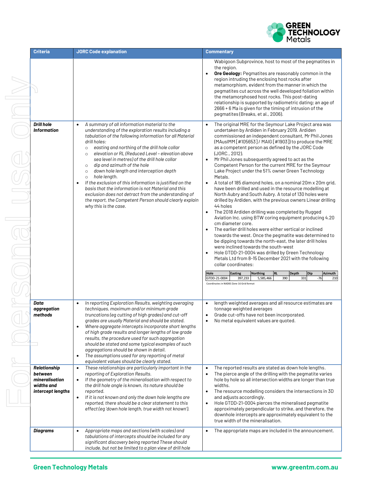

| <b>Criteria</b>                                                              | <b>JORC Code explanation</b>                                                                                                                                                                                                                                                                                                                                                                                                                                                                                                                                                                                                                                                                                                                                                     | <b>Commentary</b>                                                                                                                                                                                                                                                                                                                                                                                                                                                                                                                                                                                                                                                                                                                                                                                                                                                                                                                                                                                                                                                                                                                                                                                                                                                                                                                                                                                                                                                                              |
|------------------------------------------------------------------------------|----------------------------------------------------------------------------------------------------------------------------------------------------------------------------------------------------------------------------------------------------------------------------------------------------------------------------------------------------------------------------------------------------------------------------------------------------------------------------------------------------------------------------------------------------------------------------------------------------------------------------------------------------------------------------------------------------------------------------------------------------------------------------------|------------------------------------------------------------------------------------------------------------------------------------------------------------------------------------------------------------------------------------------------------------------------------------------------------------------------------------------------------------------------------------------------------------------------------------------------------------------------------------------------------------------------------------------------------------------------------------------------------------------------------------------------------------------------------------------------------------------------------------------------------------------------------------------------------------------------------------------------------------------------------------------------------------------------------------------------------------------------------------------------------------------------------------------------------------------------------------------------------------------------------------------------------------------------------------------------------------------------------------------------------------------------------------------------------------------------------------------------------------------------------------------------------------------------------------------------------------------------------------------------|
|                                                                              |                                                                                                                                                                                                                                                                                                                                                                                                                                                                                                                                                                                                                                                                                                                                                                                  | Wabigoon Subprovince, host to most of the pegmatites in<br>the region.<br>Ore Geology: Pegmatites are reasonably common in the<br>$\bullet$<br>region intruding the enclosing host rocks after<br>metamorphism, evident from the manner in which the<br>pegmatites cut across the well developed foliation within<br>the metamorphosed host rocks. This post-dating<br>relationship is supported by radiometric dating; an age of<br>2666 + 6 Ma is given for the timing of intrusion of the<br>pegmatites (Breaks, et al., 2006).                                                                                                                                                                                                                                                                                                                                                                                                                                                                                                                                                                                                                                                                                                                                                                                                                                                                                                                                                             |
| <b>Drill hole</b><br><b>Information</b>                                      | A summary of all information material to the<br>$\bullet$<br>understanding of the exploration results including a<br>tabulation of the following information for all Material<br>drill holes:<br>easting and northing of the drill hole collar<br>$\circ$<br>elevation or RL (Reduced Level - elevation above<br>$\circ$<br>sea level in metres) of the drill hole collar<br>dip and azimuth of the hole<br>$\circ$<br>down hole length and interception depth<br>$\circ$<br>hole length.<br>$\circ$<br>If the exclusion of this information is justified on the<br>$\bullet$<br>basis that the information is not Material and this<br>exclusion does not detract from the understanding of<br>the report, the Competent Person should clearly explain<br>why this is the case. | The original MRE for the Seymour Lake Project area was<br>$\bullet$<br>undertaken by Ardiden in February 2019. Ardiden<br>commissioned an independent consultant, Mr Phil Jones<br>(MAusIMM [#105653] / MAIG [#1903]) to produce the MRE<br>as a competent person as defined by the JORC Code<br>(JORC., 2012).<br>Mr Phil Jones subsequently agreed to act as the<br>Competent Person for the current MRE for the Seymour<br>Lake Project under the 51% owner Green Technology<br>Metals.<br>A total of 185 diamond holes, on a nominal 20m x 20m grid,<br>$\bullet$<br>have been drilled and used in the resource modelling at<br>North Aubry and South Aubry. A total of 130 holes were<br>drilled by Ardiden, with the previous owners Linear drilling<br>44 holes<br>The 2018 Ardiden drilling was completed by Rugged<br>$\bullet$<br>Aviation Inc. using BTW coring equipment producing 4.20<br>cm diameter core.<br>The earlier drill holes were either vertical or inclined<br>towards the west. Once the pegmatite was determined to<br>be dipping towards the north-east, the later drill holes<br>were inclined towards the south-west<br>Hole GTDD-21-0004 was drilled by Green Technology<br>Metals Ltd from 8-15 December 2021 with the following<br>collar coordinates:<br>Dip<br>Hole<br><b>Easting</b><br><b>Northing</b><br><b>RL</b><br>Depth<br>Azimuth<br>5,585,466<br>390<br>331<br>GTDD-21-0004<br>397,233<br>$-76$<br>210<br>Coordinates in NAD83 Zone 16 Grid format |
| Data<br>aggregation<br>methods                                               | In reporting Exploration Results, weighting averaging<br>techniques, maximum and/or minimum grade<br>truncations (eg cutting of high grades) and cut-off<br>grades are usually Material and should be stated.<br>Where aggregate intercepts incorporate short lengths<br>of high grade results and longer lengths of low grade<br>results, the procedure used for such aggregation<br>should be stated and some typical examples of such<br>aggregations should be shown in detail.<br>The assumptions used for any reporting of metal<br>$\bullet$<br>equivalent values should be clearly stated.                                                                                                                                                                               | length weighted averages and all resource estimates are<br>$\bullet$<br>tonnage weighted averages<br>Grade cut-offs have not been incorporated.<br>No metal equivalent values are quoted.                                                                                                                                                                                                                                                                                                                                                                                                                                                                                                                                                                                                                                                                                                                                                                                                                                                                                                                                                                                                                                                                                                                                                                                                                                                                                                      |
| Relationship<br>between<br>mineralisation<br>widths and<br>intercept lengths | These relationships are particularly important in the<br>$\bullet$<br>reporting of Exploration Results.<br>If the geometry of the mineralisation with respect to<br>the drill hole angle is known, its nature should be<br>reported.<br>If it is not known and only the down hole lengths are<br>$\bullet$<br>reported, there should be a clear statement to this<br>effect (eg 'down hole length, true width not known').                                                                                                                                                                                                                                                                                                                                                       | The reported results are stated as down hole lengths.<br>$\bullet$<br>The pierce angle of the drilling with the pegmatite varies<br>hole by hole so all intersection widths are longer than true<br>widths.<br>The resource modelling considers the intersections in 3D<br>$\bullet$<br>and adjusts accordingly.<br>Hole GTDD-21-0004 pierces the mineralised pegmatite<br>$\bullet$<br>approximately perpendicular to strike, and therefore, the<br>downhole intercepts are approximately equivalent to the<br>true width of the mineralisation.                                                                                                                                                                                                                                                                                                                                                                                                                                                                                                                                                                                                                                                                                                                                                                                                                                                                                                                                              |
| <b>Diagrams</b>                                                              | Appropriate maps and sections (with scales) and<br>tabulations of intercepts should be included for any<br>significant discovery being reported These should<br>include, but not be limited to a plan view of drill hole                                                                                                                                                                                                                                                                                                                                                                                                                                                                                                                                                         | The appropriate maps are included in the announcement.<br>$\bullet$                                                                                                                                                                                                                                                                                                                                                                                                                                                                                                                                                                                                                                                                                                                                                                                                                                                                                                                                                                                                                                                                                                                                                                                                                                                                                                                                                                                                                            |